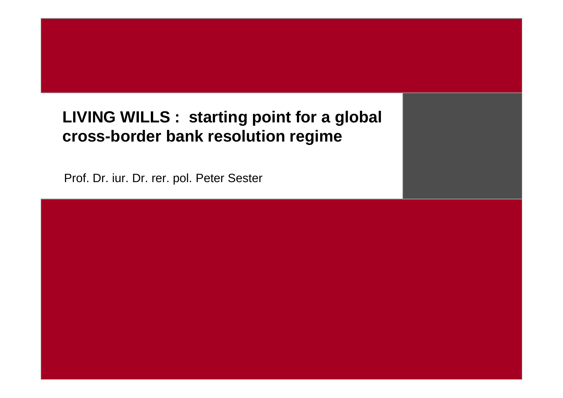#### **LIVING WILLS : starting point for a global cross-border bank resolution regime**

Prof. Dr. iur. Dr. rer. pol. Peter Sester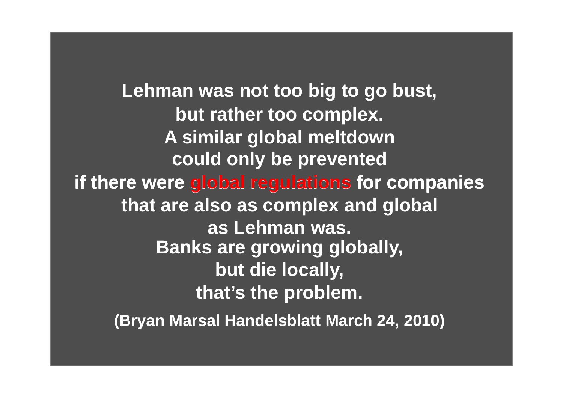**Lehman was not too big to go bust, but rather too complex. A similar global meltdown could only be prevented if there were global regulations for companiesif there global regulationsthat are also as complex and global as Lehman was. Banks are growing globally,but die locally,(Bryan Marsal Handelsblatt March 24, 2010)that's the problem.**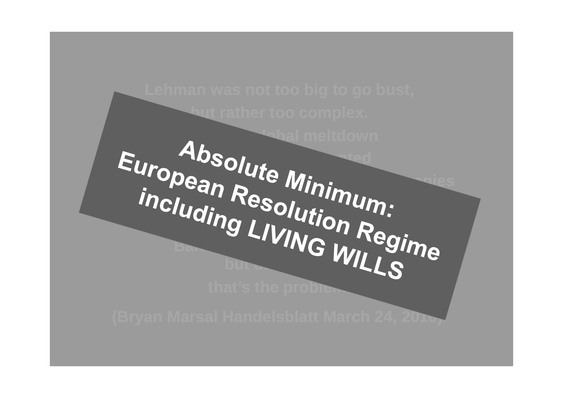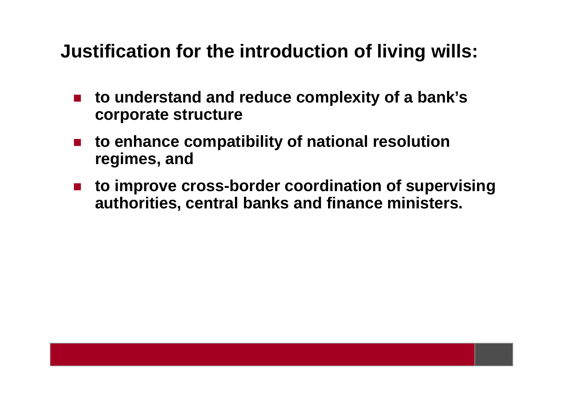## **Justification for the introduction of living wills:**

- $\mathcal{L}_{\mathcal{A}}$  **to understand and reduce complexity of a bank's corporate structure**
- $\mathcal{L}_{\mathcal{A}}$  **to enhance compatibility of national resolution regimes, and**
- $\mathcal{L}_{\mathcal{A}}$  **to improve cross-border coordination of supervisingauthorities, central banks and finance ministers.**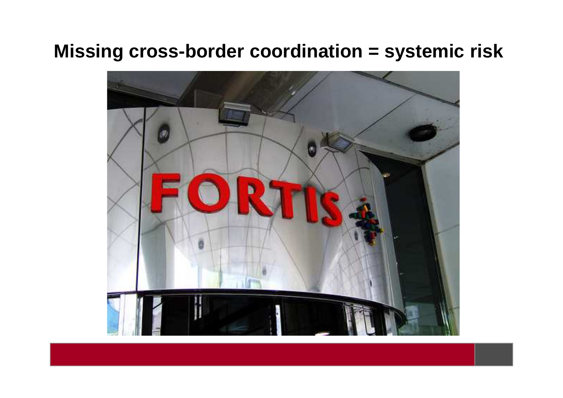### **Missing cross-border coordination = systemic risk**

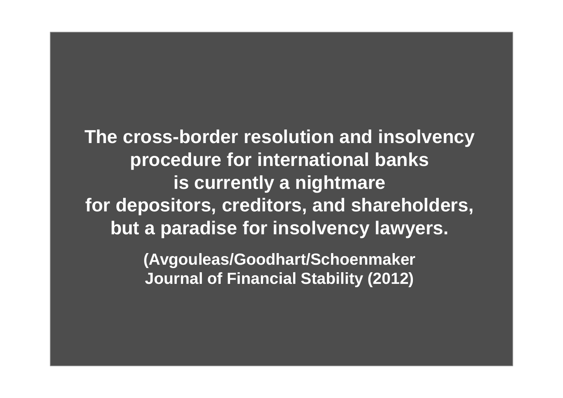**The cross-border resolution and insolvencyprocedure for international banksis currently a nightmare for depositors, creditors, and shareholders,but a paradise for insolvency lawyers.**

> **(Avgouleas/Goodhart/Schoenmaker Journal of Financial Stability (2012)**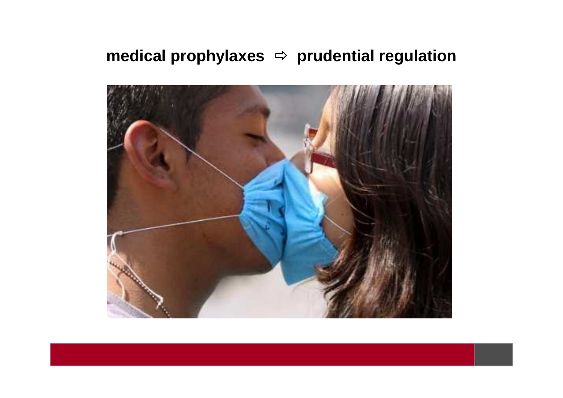#### **medical prophylaxes**  - **prudential regulation**

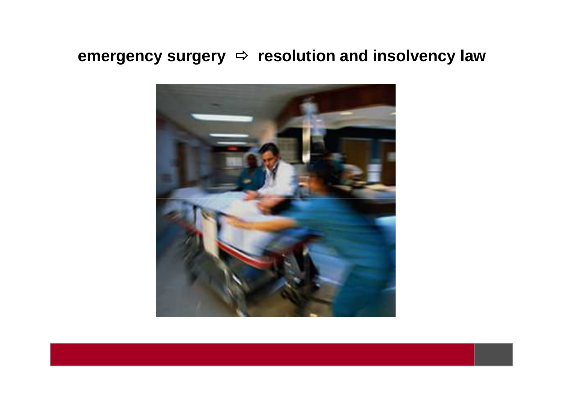# **emergency surgery** - **resolution and insolvency law**

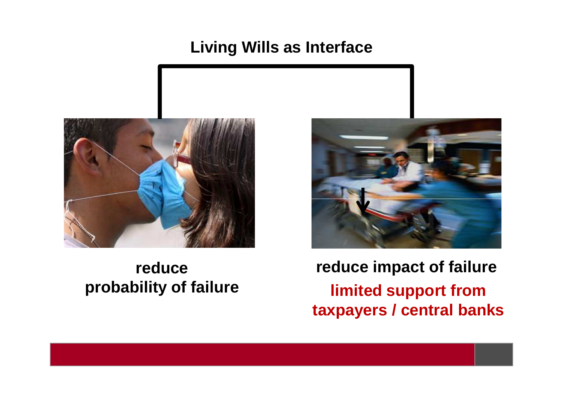#### **Living Wills as Interface**



#### **reduce probability of failure**



**reduce impact of failurelimited support from taxpayers / central banks**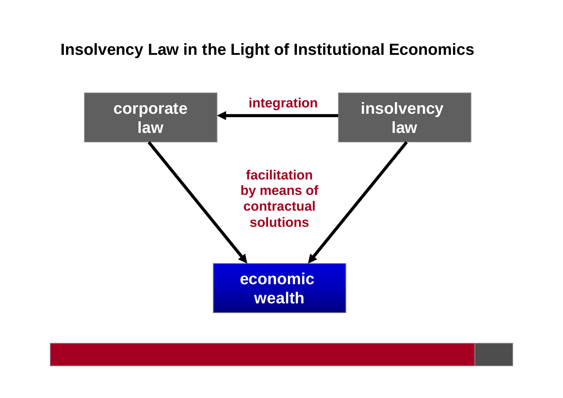#### **Insolvency Law in the Light of Institutional Economics**

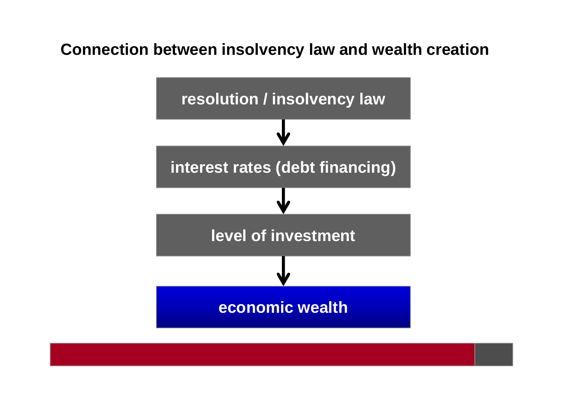#### **Connection between insolvency law and wealth creation**

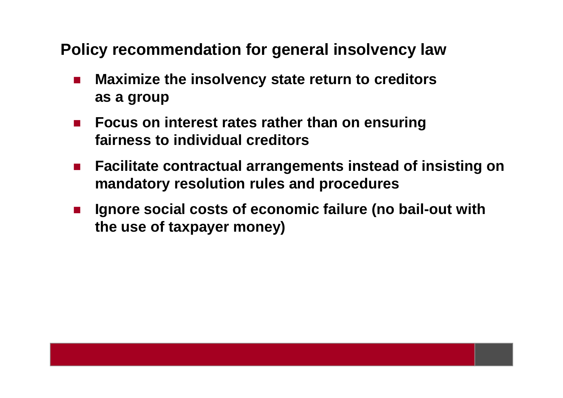**Policy recommendation for general insolvency law**

- M. **Maximize the insolvency state return to creditors as a group**
- $\mathcal{L}^{\mathcal{A}}$  . **Focus on interest rates rather than on ensuring fairness to individual creditors**
- $\mathcal{L}_{\mathcal{A}}$  **Facilitate contractual arrangements instead of insisting on mandatory resolution rules and procedures**
- F. **Ignore social costs of economic failure (no bail-out with the use of taxpayer money)**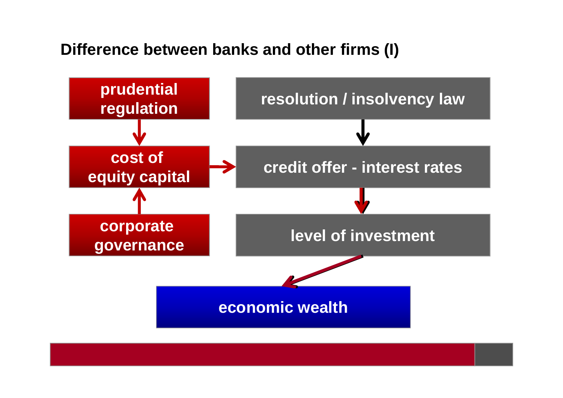#### **Difference between banks and other firms (I)**

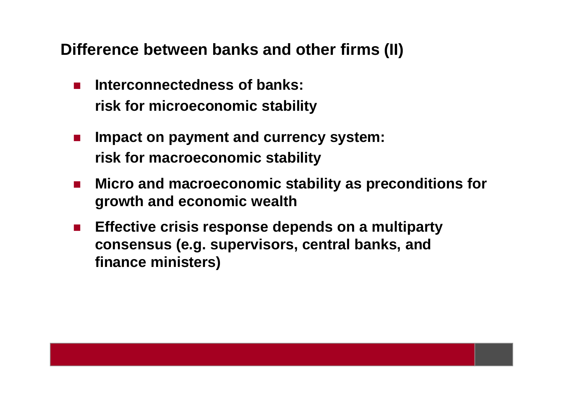**Difference between banks and other firms (II)**

- × **Interconnectedness of banks: risk for microeconomic stability**
- $\blacksquare$  **Impact on payment and currency system: risk for macroeconomic stability**
- $\mathcal{L}_{\mathcal{A}}$  **Micro and macroeconomic stability as preconditions for growth and economic wealth**
- **Effective crisis response depends on a multiparty consensus (e.g. supervisors, central banks, and finance ministers)**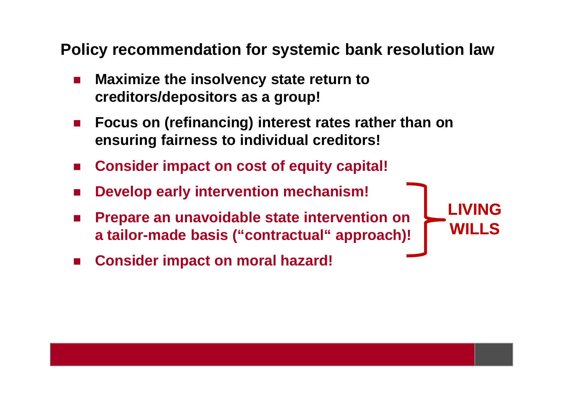**Policy recommendation for systemic bank resolution law**

- M. **Maximize the insolvency state return to creditors/depositors as a group!**
- M. **Focus on (refinancing) interest rates rather than on ensuring fairness to individual creditors!**

**LIVING**

**WILLS**

- **Consider impact on cost of equity capital!**
- M. **Develop early intervention mechanism!**
- F. **Prepare an unavoidable state intervention on a tailor-made basis ("contractual" approach)!**
- **Consider impact on moral hazard!**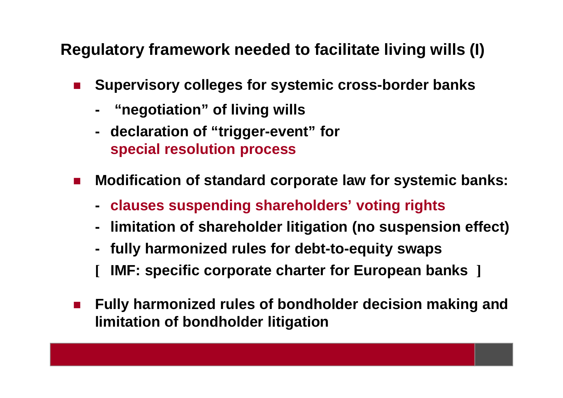**Regulatory framework needed to facilitate living wills (I)**

- × **Supervisory colleges for systemic cross-border banks** 
	- **- "negotiation" of living wills**
	- **declaration of "trigger-event" for special resolution process**
- **Modification of standard corporate law for systemic banks:**
	- **clauses suspending shareholders' voting rights**
	- **limitation of shareholder litigation (no suspension effect)**
	- **fully harmonized rules for debt-to-equity swaps**
	- **[IMF: specific corporate charter for European banks ]**
- × **Fully harmonized rules of bondholder decision making and limitation of bondholder litigation**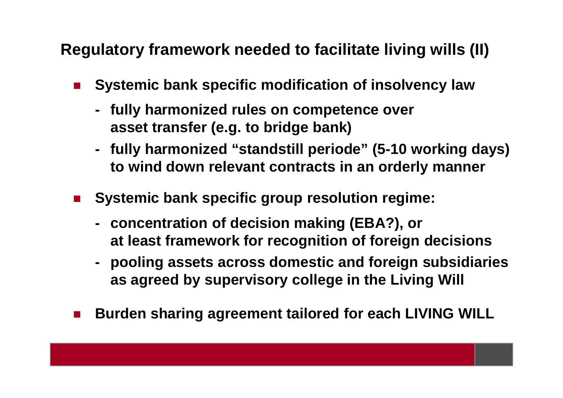**Regulatory framework needed to facilitate living wills (II)**

- × **Systemic bank specific modification of insolvency law**
	- **fully harmonized rules on competence over asset transfer (e.g. to bridge bank)**
	- **fully harmonized "standstill periode" (5-10 working days) to wind down relevant contracts in an orderly manner**
- M. **Systemic bank specific group resolution regime:**
	- **concentration of decision making (EBA?), orat least framework for recognition of foreign decisions**
	- **pooling assets across domestic and foreign subsidiariesas agreed by supervisory college in the Living Will**
- m, **Burden sharing agreement tailored for each LIVING WILL**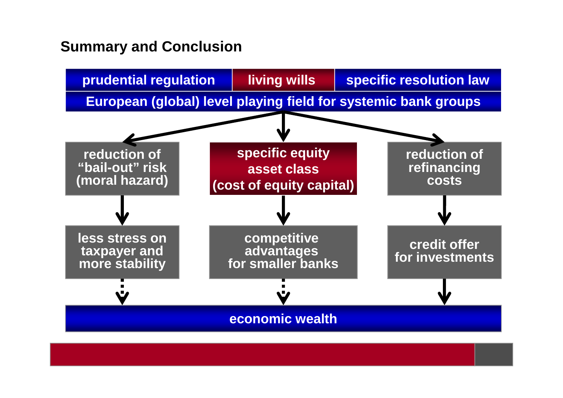#### **Summary and Conclusion**

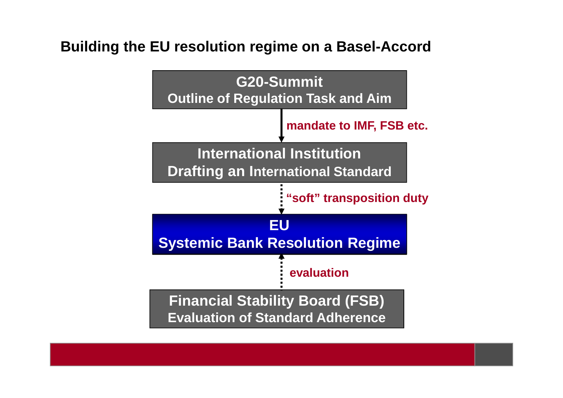#### **Building the EU resolution regime on a Basel-Accord**

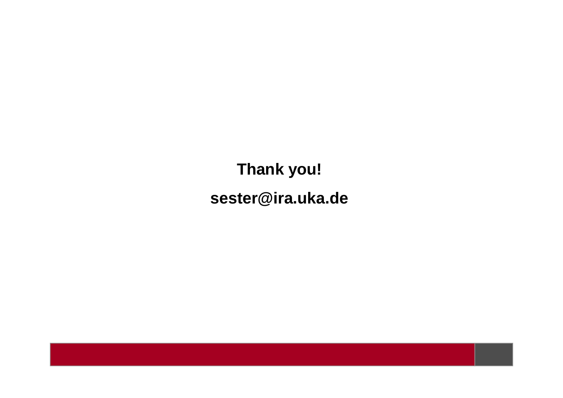**Thank you!sester@ira.uka.de**